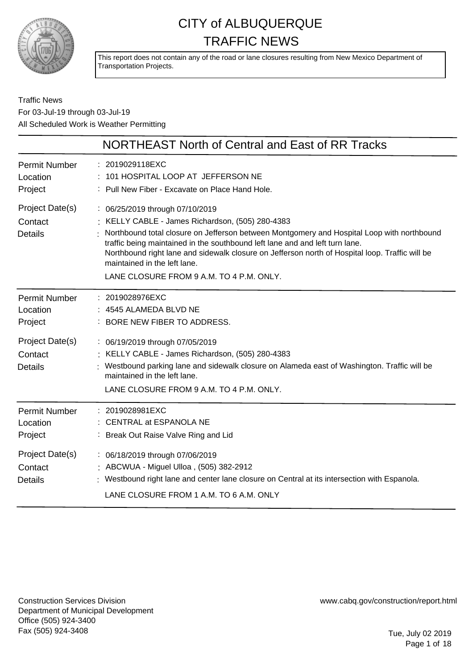

This report does not contain any of the road or lane closures resulting from New Mexico Department of Transportation Projects.

### Traffic News For 03-Jul-19 through 03-Jul-19 All Scheduled Work is Weather Permitting

|                                              | <b>NORTHEAST North of Central and East of RR Tracks</b>                                                                                                                                                                                                                                                                                                                                                                                        |
|----------------------------------------------|------------------------------------------------------------------------------------------------------------------------------------------------------------------------------------------------------------------------------------------------------------------------------------------------------------------------------------------------------------------------------------------------------------------------------------------------|
| <b>Permit Number</b><br>Location<br>Project  | : 2019029118EXC<br>: 101 HOSPITAL LOOP AT JEFFERSON NE<br>: Pull New Fiber - Excavate on Place Hand Hole.                                                                                                                                                                                                                                                                                                                                      |
| Project Date(s)<br>Contact<br><b>Details</b> | : 06/25/2019 through 07/10/2019<br>KELLY CABLE - James Richardson, (505) 280-4383<br>Northbound total closure on Jefferson between Montgomery and Hospital Loop with northbound<br>traffic being maintained in the southbound left lane and and left turn lane.<br>Northbound right lane and sidewalk closure on Jefferson north of Hospital loop. Traffic will be<br>maintained in the left lane.<br>LANE CLOSURE FROM 9 A.M. TO 4 P.M. ONLY. |
| <b>Permit Number</b><br>Location<br>Project  | : 2019028976EXC<br>4545 ALAMEDA BLVD NE<br>BORE NEW FIBER TO ADDRESS.                                                                                                                                                                                                                                                                                                                                                                          |
| Project Date(s)<br>Contact<br><b>Details</b> | : 06/19/2019 through 07/05/2019<br>: KELLY CABLE - James Richardson, (505) 280-4383<br>Westbound parking lane and sidewalk closure on Alameda east of Washington. Traffic will be<br>maintained in the left lane.<br>LANE CLOSURE FROM 9 A.M. TO 4 P.M. ONLY.                                                                                                                                                                                  |
| <b>Permit Number</b><br>Location<br>Project  | : 2019028981EXC<br>: CENTRAL at ESPANOLA NE<br>: Break Out Raise Valve Ring and Lid                                                                                                                                                                                                                                                                                                                                                            |
| Project Date(s)<br>Contact<br><b>Details</b> | : 06/18/2019 through 07/06/2019<br>: ABCWUA - Miguel Ulloa, (505) 382-2912<br>: Westbound right lane and center lane closure on Central at its intersection with Espanola.<br>LANE CLOSURE FROM 1 A.M. TO 6 A.M. ONLY                                                                                                                                                                                                                          |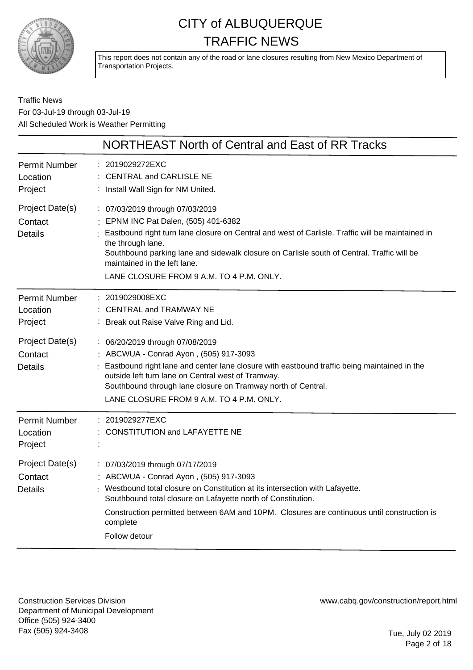

This report does not contain any of the road or lane closures resulting from New Mexico Department of Transportation Projects.

Traffic News For 03-Jul-19 through 03-Jul-19 All Scheduled Work is Weather Permitting

|                                              | NORTHEAST North of Central and East of RR Tracks                                                                                                                                                                                                                                                                                                                           |
|----------------------------------------------|----------------------------------------------------------------------------------------------------------------------------------------------------------------------------------------------------------------------------------------------------------------------------------------------------------------------------------------------------------------------------|
| <b>Permit Number</b><br>Location<br>Project  | : 2019029272EXC<br><b>CENTRAL and CARLISLE NE</b><br>: Install Wall Sign for NM United.                                                                                                                                                                                                                                                                                    |
| Project Date(s)<br>Contact<br><b>Details</b> | : 07/03/2019 through 07/03/2019<br>: EPNM INC Pat Dalen, (505) 401-6382<br>Eastbound right turn lane closure on Central and west of Carlisle. Traffic will be maintained in<br>the through lane.<br>Southbound parking lane and sidewalk closure on Carlisle south of Central. Traffic will be<br>maintained in the left lane.<br>LANE CLOSURE FROM 9 A.M. TO 4 P.M. ONLY. |
| <b>Permit Number</b><br>Location<br>Project  | 2019029008EXC<br><b>CENTRAL and TRAMWAY NE</b><br>: Break out Raise Valve Ring and Lid.                                                                                                                                                                                                                                                                                    |
| Project Date(s)<br>Contact<br><b>Details</b> | : 06/20/2019 through 07/08/2019<br>: ABCWUA - Conrad Ayon, (505) 917-3093<br>Eastbound right lane and center lane closure with eastbound traffic being maintained in the<br>outside left turn lane on Central west of Tramway.<br>Southbound through lane closure on Tramway north of Central.<br>LANE CLOSURE FROM 9 A.M. TO 4 P.M. ONLY.                                 |
| <b>Permit Number</b><br>Location<br>Project  | : 2019029277EXC<br><b>CONSTITUTION and LAFAYETTE NE</b>                                                                                                                                                                                                                                                                                                                    |
| Project Date(s)<br>Contact<br><b>Details</b> | : 07/03/2019 through 07/17/2019<br>ABCWUA - Conrad Ayon, (505) 917-3093<br>Westbound total closure on Constitution at its intersection with Lafayette.<br>Southbound total closure on Lafayette north of Constitution.<br>Construction permitted between 6AM and 10PM. Closures are continuous until construction is<br>complete<br>Follow detour                          |

Construction Services Division Department of Municipal Development Office (505) 924-3400 Fax (505) 924-3408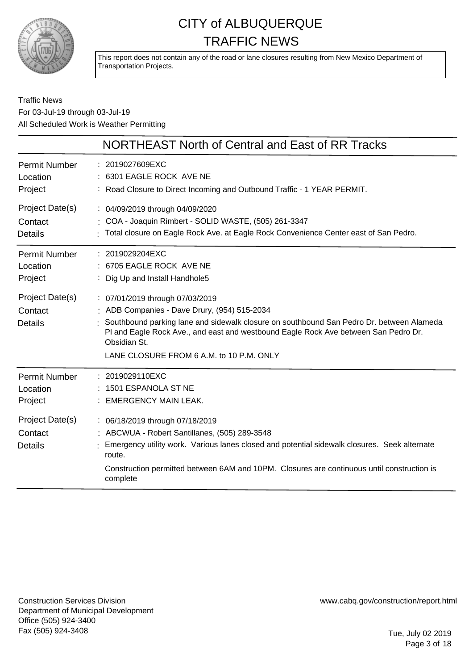

This report does not contain any of the road or lane closures resulting from New Mexico Department of Transportation Projects.

### Traffic News For 03-Jul-19 through 03-Jul-19 All Scheduled Work is Weather Permitting

|                                              | NORTHEAST North of Central and East of RR Tracks                                                                                                                                                                                                                                                                               |
|----------------------------------------------|--------------------------------------------------------------------------------------------------------------------------------------------------------------------------------------------------------------------------------------------------------------------------------------------------------------------------------|
| Permit Number                                | : 2019027609EXC                                                                                                                                                                                                                                                                                                                |
| Location                                     | 6301 EAGLE ROCK AVE NE                                                                                                                                                                                                                                                                                                         |
| Project                                      | : Road Closure to Direct Incoming and Outbound Traffic - 1 YEAR PERMIT.                                                                                                                                                                                                                                                        |
| Project Date(s)                              | : 04/09/2019 through 04/09/2020                                                                                                                                                                                                                                                                                                |
| Contact                                      | : COA - Joaquin Rimbert - SOLID WASTE, (505) 261-3347                                                                                                                                                                                                                                                                          |
| <b>Details</b>                               | : Total closure on Eagle Rock Ave. at Eagle Rock Convenience Center east of San Pedro.                                                                                                                                                                                                                                         |
| <b>Permit Number</b>                         | $: 2019029204$ EXC                                                                                                                                                                                                                                                                                                             |
| Location                                     | : 6705 EAGLE ROCK AVE NE                                                                                                                                                                                                                                                                                                       |
| Project                                      | : Dig Up and Install Handhole5                                                                                                                                                                                                                                                                                                 |
| Project Date(s)<br>Contact<br><b>Details</b> | : 07/01/2019 through 07/03/2019<br>: ADB Companies - Dave Drury, (954) 515-2034<br>Southbound parking lane and sidewalk closure on southbound San Pedro Dr. between Alameda<br>PI and Eagle Rock Ave., and east and westbound Eagle Rock Ave between San Pedro Dr.<br>Obsidian St.<br>LANE CLOSURE FROM 6 A.M. to 10 P.M. ONLY |
| Permit Number                                | : 2019029110EXC                                                                                                                                                                                                                                                                                                                |
| Location                                     | 1501 ESPANOLA ST NE                                                                                                                                                                                                                                                                                                            |
| Project                                      | <b>EMERGENCY MAIN LEAK.</b>                                                                                                                                                                                                                                                                                                    |
| Project Date(s)<br>Contact<br><b>Details</b> | : 06/18/2019 through 07/18/2019<br>: ABCWUA - Robert Santillanes, (505) 289-3548<br>: Emergency utility work. Various lanes closed and potential sidewalk closures. Seek alternate<br>route.<br>Construction permitted between 6AM and 10PM. Closures are continuous until construction is<br>complete                         |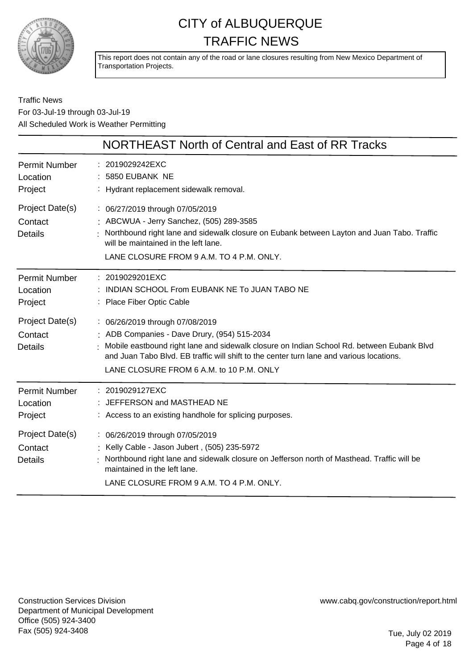

This report does not contain any of the road or lane closures resulting from New Mexico Department of Transportation Projects.

### Traffic News For 03-Jul-19 through 03-Jul-19 All Scheduled Work is Weather Permitting

|                                                                                      | <b>NORTHEAST North of Central and East of RR Tracks</b>                                                                                                                                                                                                                                                                                                                    |
|--------------------------------------------------------------------------------------|----------------------------------------------------------------------------------------------------------------------------------------------------------------------------------------------------------------------------------------------------------------------------------------------------------------------------------------------------------------------------|
| <b>Permit Number</b><br>Location<br>Project                                          | : 2019029242EXC<br>: 5850 EUBANK NE<br>: Hydrant replacement sidewalk removal.                                                                                                                                                                                                                                                                                             |
| Project Date(s)<br>Contact<br><b>Details</b>                                         | : 06/27/2019 through 07/05/2019<br>: ABCWUA - Jerry Sanchez, (505) 289-3585<br>Northbound right lane and sidewalk closure on Eubank between Layton and Juan Tabo. Traffic<br>will be maintained in the left lane.<br>LANE CLOSURE FROM 9 A.M. TO 4 P.M. ONLY.                                                                                                              |
| Permit Number<br>Location<br>Project<br>Project Date(s)<br>Contact<br><b>Details</b> | : 2019029201EXC<br>: INDIAN SCHOOL From EUBANK NE To JUAN TABO NE<br>: Place Fiber Optic Cable<br>: 06/26/2019 through 07/08/2019<br>: ADB Companies - Dave Drury, (954) 515-2034<br>Mobile eastbound right lane and sidewalk closure on Indian School Rd. between Eubank Blvd<br>and Juan Tabo Blyd. EB traffic will shift to the center turn lane and various locations. |
| <b>Permit Number</b><br>Location<br>Project                                          | LANE CLOSURE FROM 6 A.M. to 10 P.M. ONLY<br>: 2019029127EXC<br>: JEFFERSON and MASTHEAD NE<br>: Access to an existing handhole for splicing purposes.                                                                                                                                                                                                                      |
| Project Date(s)<br>Contact<br><b>Details</b>                                         | : 06/26/2019 through 07/05/2019<br>Kelly Cable - Jason Jubert, (505) 235-5972<br>Northbound right lane and sidewalk closure on Jefferson north of Masthead. Traffic will be<br>maintained in the left lane.<br>LANE CLOSURE FROM 9 A.M. TO 4 P.M. ONLY.                                                                                                                    |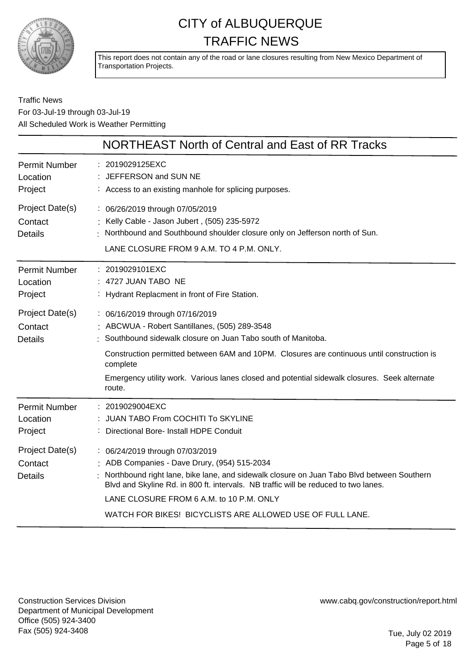

This report does not contain any of the road or lane closures resulting from New Mexico Department of Transportation Projects.

### Traffic News For 03-Jul-19 through 03-Jul-19 All Scheduled Work is Weather Permitting

|                                              | NORTHEAST North of Central and East of RR Tracks                                                                                                                                                                                                                                                                                                                             |
|----------------------------------------------|------------------------------------------------------------------------------------------------------------------------------------------------------------------------------------------------------------------------------------------------------------------------------------------------------------------------------------------------------------------------------|
| <b>Permit Number</b><br>Location<br>Project  | : 2019029125EXC<br>: JEFFERSON and SUN NE<br>: Access to an existing manhole for splicing purposes.                                                                                                                                                                                                                                                                          |
| Project Date(s)<br>Contact<br><b>Details</b> | : 06/26/2019 through 07/05/2019<br>: Kelly Cable - Jason Jubert, (505) 235-5972<br>Northbound and Southbound shoulder closure only on Jefferson north of Sun.<br>LANE CLOSURE FROM 9 A.M. TO 4 P.M. ONLY.                                                                                                                                                                    |
| <b>Permit Number</b><br>Location<br>Project  | : 2019029101EXC<br>: 4727 JUAN TABO NE<br>: Hydrant Replacment in front of Fire Station.                                                                                                                                                                                                                                                                                     |
| Project Date(s)<br>Contact<br><b>Details</b> | : 06/16/2019 through 07/16/2019<br>: ABCWUA - Robert Santillanes, (505) 289-3548<br>Southbound sidewalk closure on Juan Tabo south of Manitoba.<br>Construction permitted between 6AM and 10PM. Closures are continuous until construction is                                                                                                                                |
|                                              | complete<br>Emergency utility work. Various lanes closed and potential sidewalk closures. Seek alternate<br>route.                                                                                                                                                                                                                                                           |
| <b>Permit Number</b><br>Location<br>Project  | $: 2019029004$ EXC<br>: JUAN TABO From COCHITI To SKYLINE<br>: Directional Bore- Install HDPE Conduit                                                                                                                                                                                                                                                                        |
| Project Date(s)<br>Contact<br><b>Details</b> | : 06/24/2019 through 07/03/2019<br>: ADB Companies - Dave Drury, (954) 515-2034<br>Northbound right lane, bike lane, and sidewalk closure on Juan Tabo Blvd between Southern<br>Blvd and Skyline Rd. in 800 ft. intervals. NB traffic will be reduced to two lanes.<br>LANE CLOSURE FROM 6 A.M. to 10 P.M. ONLY<br>WATCH FOR BIKES! BICYCLISTS ARE ALLOWED USE OF FULL LANE. |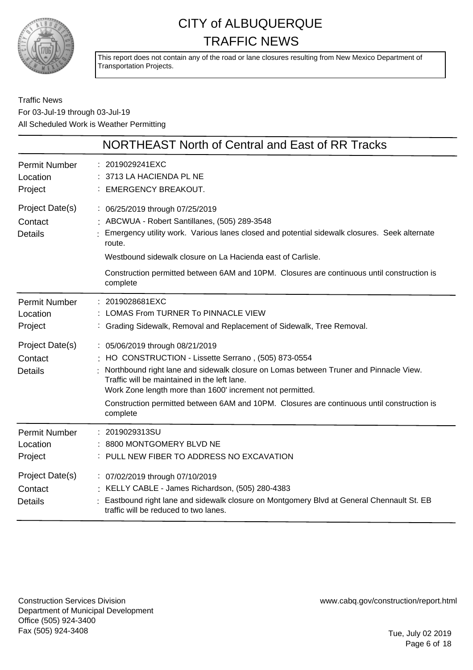

This report does not contain any of the road or lane closures resulting from New Mexico Department of Transportation Projects.

Traffic News For 03-Jul-19 through 03-Jul-19 All Scheduled Work is Weather Permitting

|                                              | NORTHEAST North of Central and East of RR Tracks                                                                                                                                                                                                                                                                                                                                                      |
|----------------------------------------------|-------------------------------------------------------------------------------------------------------------------------------------------------------------------------------------------------------------------------------------------------------------------------------------------------------------------------------------------------------------------------------------------------------|
| <b>Permit Number</b><br>Location<br>Project  | : 2019029241EXC<br>3713 LA HACIENDA PL NE<br><b>EMERGENCY BREAKOUT.</b>                                                                                                                                                                                                                                                                                                                               |
| Project Date(s)<br>Contact<br><b>Details</b> | : 06/25/2019 through 07/25/2019<br>ABCWUA - Robert Santillanes, (505) 289-3548<br>Emergency utility work. Various lanes closed and potential sidewalk closures. Seek alternate<br>route.<br>Westbound sidewalk closure on La Hacienda east of Carlisle.<br>Construction permitted between 6AM and 10PM. Closures are continuous until construction is<br>complete                                     |
| <b>Permit Number</b><br>Location<br>Project  | : 2019028681EXC<br>LOMAS From TURNER To PINNACLE VIEW<br>Grading Sidewalk, Removal and Replacement of Sidewalk, Tree Removal.                                                                                                                                                                                                                                                                         |
| Project Date(s)<br>Contact<br><b>Details</b> | : 05/06/2019 through 08/21/2019<br>HO CONSTRUCTION - Lissette Serrano, (505) 873-0554<br>Northbound right lane and sidewalk closure on Lomas between Truner and Pinnacle View.<br>Traffic will be maintained in the left lane.<br>Work Zone length more than 1600' increment not permitted.<br>Construction permitted between 6AM and 10PM. Closures are continuous until construction is<br>complete |
| <b>Permit Number</b><br>Location<br>Project  | : 2019029313SU<br>8800 MONTGOMERY BLVD NE<br>: PULL NEW FIBER TO ADDRESS NO EXCAVATION                                                                                                                                                                                                                                                                                                                |
| Project Date(s)<br>Contact<br><b>Details</b> | : 07/02/2019 through 07/10/2019<br>: KELLY CABLE - James Richardson, (505) 280-4383<br>Eastbound right lane and sidewalk closure on Montgomery Blvd at General Chennault St. EB<br>traffic will be reduced to two lanes.                                                                                                                                                                              |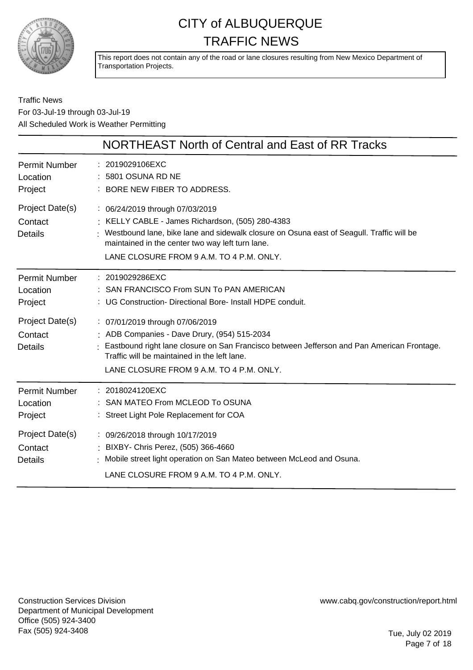

This report does not contain any of the road or lane closures resulting from New Mexico Department of Transportation Projects.

### Traffic News For 03-Jul-19 through 03-Jul-19 All Scheduled Work is Weather Permitting

|                                              | NORTHEAST North of Central and East of RR Tracks                                                                                                                                                                                                                                |
|----------------------------------------------|---------------------------------------------------------------------------------------------------------------------------------------------------------------------------------------------------------------------------------------------------------------------------------|
| <b>Permit Number</b><br>Location<br>Project  | : 2019029106EXC<br>5801 OSUNA RD NE<br>: BORE NEW FIBER TO ADDRESS.                                                                                                                                                                                                             |
| Project Date(s)<br>Contact<br><b>Details</b> | : 06/24/2019 through 07/03/2019<br>: KELLY CABLE - James Richardson, (505) 280-4383<br>Westbound lane, bike lane and sidewalk closure on Osuna east of Seagull. Traffic will be<br>maintained in the center two way left turn lane.<br>LANE CLOSURE FROM 9 A.M. TO 4 P.M. ONLY. |
| <b>Permit Number</b><br>Location<br>Project  | : 2019029286EXC<br>SAN FRANCISCO From SUN To PAN AMERICAN<br>: UG Construction- Directional Bore- Install HDPE conduit.                                                                                                                                                         |
| Project Date(s)<br>Contact<br><b>Details</b> | : 07/01/2019 through 07/06/2019<br>: ADB Companies - Dave Drury, (954) 515-2034<br>Eastbound right lane closure on San Francisco between Jefferson and Pan American Frontage.<br>Traffic will be maintained in the left lane.<br>LANE CLOSURE FROM 9 A.M. TO 4 P.M. ONLY.       |
| <b>Permit Number</b><br>Location<br>Project  | : 2018024120EXC<br>SAN MATEO From MCLEOD To OSUNA<br>: Street Light Pole Replacement for COA                                                                                                                                                                                    |
| Project Date(s)<br>Contact<br><b>Details</b> | : 09/26/2018 through 10/17/2019<br>BIXBY- Chris Perez, (505) 366-4660<br>Mobile street light operation on San Mateo between McLeod and Osuna.<br>LANE CLOSURE FROM 9 A.M. TO 4 P.M. ONLY.                                                                                       |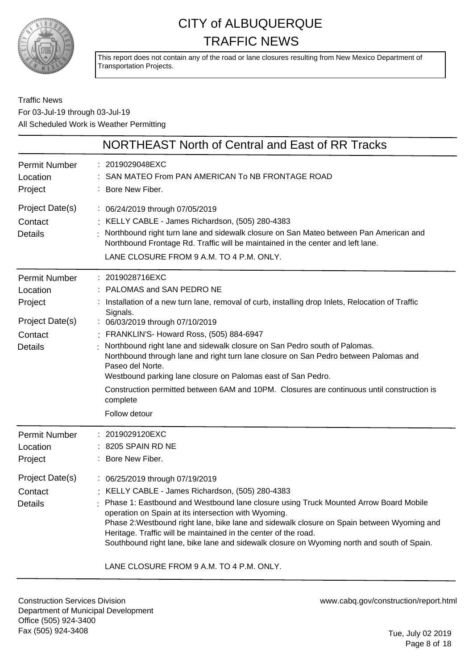

This report does not contain any of the road or lane closures resulting from New Mexico Department of Transportation Projects.

### Traffic News For 03-Jul-19 through 03-Jul-19 All Scheduled Work is Weather Permitting

|                                                                                      | NORTHEAST North of Central and East of RR Tracks                                                                                                                                                                                                                                                                                                                                                                                                                                                                                                                                                                                   |
|--------------------------------------------------------------------------------------|------------------------------------------------------------------------------------------------------------------------------------------------------------------------------------------------------------------------------------------------------------------------------------------------------------------------------------------------------------------------------------------------------------------------------------------------------------------------------------------------------------------------------------------------------------------------------------------------------------------------------------|
| <b>Permit Number</b><br>Location<br>Project                                          | : 2019029048EXC<br>SAN MATEO From PAN AMERICAN To NB FRONTAGE ROAD<br>: Bore New Fiber.                                                                                                                                                                                                                                                                                                                                                                                                                                                                                                                                            |
| Project Date(s)<br>Contact<br><b>Details</b>                                         | : 06/24/2019 through 07/05/2019<br>: KELLY CABLE - James Richardson, (505) 280-4383<br>Northbound right turn lane and sidewalk closure on San Mateo between Pan American and<br>Northbound Frontage Rd. Traffic will be maintained in the center and left lane.<br>LANE CLOSURE FROM 9 A.M. TO 4 P.M. ONLY.                                                                                                                                                                                                                                                                                                                        |
| Permit Number<br>Location<br>Project<br>Project Date(s)<br>Contact<br><b>Details</b> | : 2019028716EXC<br>: PALOMAS and SAN PEDRO NE<br>: Installation of a new turn lane, removal of curb, installing drop Inlets, Relocation of Traffic<br>Signals.<br>: 06/03/2019 through 07/10/2019<br>: FRANKLIN'S- Howard Ross, (505) 884-6947<br>Northbound right lane and sidewalk closure on San Pedro south of Palomas.<br>Northbound through lane and right turn lane closure on San Pedro between Palomas and<br>Paseo del Norte.<br>Westbound parking lane closure on Palomas east of San Pedro.<br>Construction permitted between 6AM and 10PM. Closures are continuous until construction is<br>complete<br>Follow detour |
| <b>Permit Number</b><br>Location<br>Project<br>Project Date(s)<br>Contact<br>Details | 2019029120EXC<br>$: 8205$ SPAIN RD NE<br>: Bore New Fiber.<br>: 06/25/2019 through 07/19/2019<br>: KELLY CABLE - James Richardson, (505) 280-4383<br>Phase 1: Eastbound and Westbound lane closure using Truck Mounted Arrow Board Mobile<br>operation on Spain at its intersection with Wyoming.<br>Phase 2: Westbound right lane, bike lane and sidewalk closure on Spain between Wyoming and<br>Heritage. Traffic will be maintained in the center of the road.<br>Southbound right lane, bike lane and sidewalk closure on Wyoming north and south of Spain.                                                                   |
|                                                                                      | LANE CLOSURE FROM 9 A.M. TO 4 P.M. ONLY.                                                                                                                                                                                                                                                                                                                                                                                                                                                                                                                                                                                           |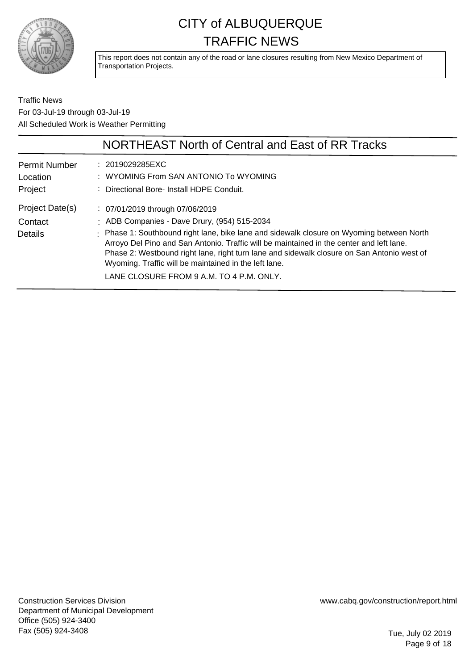

This report does not contain any of the road or lane closures resulting from New Mexico Department of Transportation Projects.

Traffic News For 03-Jul-19 through 03-Jul-19 All Scheduled Work is Weather Permitting

|                                             | NORTHEAST North of Central and East of RR Tracks                                                                                                                                                                                                                                                                                                                                         |
|---------------------------------------------|------------------------------------------------------------------------------------------------------------------------------------------------------------------------------------------------------------------------------------------------------------------------------------------------------------------------------------------------------------------------------------------|
| <b>Permit Number</b><br>Location<br>Project | : 2019029285EXC<br>: WYOMING From SAN ANTONIO To WYOMING<br>: Directional Bore- Install HDPE Conduit.                                                                                                                                                                                                                                                                                    |
| Project Date(s)                             | $\therefore$ 07/01/2019 through 07/06/2019                                                                                                                                                                                                                                                                                                                                               |
| Contact                                     | : ADB Companies - Dave Drury, (954) 515-2034                                                                                                                                                                                                                                                                                                                                             |
| Details                                     | : Phase 1: Southbound right lane, bike lane and sidewalk closure on Wyoming between North<br>Arroyo Del Pino and San Antonio. Traffic will be maintained in the center and left lane.<br>Phase 2: Westbound right lane, right turn lane and sidewalk closure on San Antonio west of<br>Wyoming. Traffic will be maintained in the left lane.<br>LANE CLOSURE FROM 9 A.M. TO 4 P.M. ONLY. |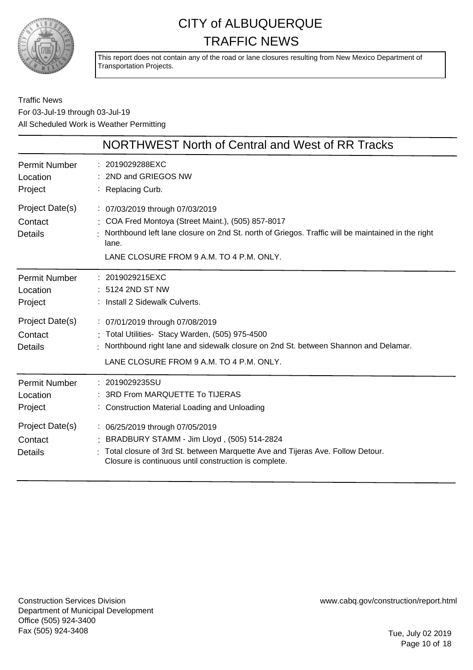

This report does not contain any of the road or lane closures resulting from New Mexico Department of Transportation Projects.

Traffic News For 03-Jul-19 through 03-Jul-19 All Scheduled Work is Weather Permitting

|                                              | NORTHWEST North of Central and West of RR Tracks                                                                                                                                                                                                |
|----------------------------------------------|-------------------------------------------------------------------------------------------------------------------------------------------------------------------------------------------------------------------------------------------------|
| <b>Permit Number</b><br>Location<br>Project  | : 2019029288EXC<br>2ND and GRIEGOS NW<br>: Replacing Curb.                                                                                                                                                                                      |
| Project Date(s)<br>Contact<br><b>Details</b> | : 07/03/2019 through 07/03/2019<br>: COA Fred Montoya (Street Maint.), (505) 857-8017<br>Northbound left lane closure on 2nd St. north of Griegos. Traffic will be maintained in the right<br>lane.<br>LANE CLOSURE FROM 9 A.M. TO 4 P.M. ONLY. |
| <b>Permit Number</b><br>Location<br>Project  | : 2019029215EXC<br>: 5124 2ND ST NW<br>: Install 2 Sidewalk Culverts.                                                                                                                                                                           |
| Project Date(s)<br>Contact<br><b>Details</b> | : 07/01/2019 through 07/08/2019<br>Total Utilities- Stacy Warden, (505) 975-4500<br>Northbound right lane and sidewalk closure on 2nd St. between Shannon and Delamar.<br>LANE CLOSURE FROM 9 A.M. TO 4 P.M. ONLY.                              |
| <b>Permit Number</b><br>Location<br>Project  | 2019029235SU<br>3RD From MARQUETTE To TIJERAS<br>: Construction Material Loading and Unloading                                                                                                                                                  |
| Project Date(s)<br>Contact<br><b>Details</b> | : 06/25/2019 through 07/05/2019<br>BRADBURY STAMM - Jim Lloyd, (505) 514-2824<br>Total closure of 3rd St. between Marquette Ave and Tijeras Ave. Follow Detour.<br>Closure is continuous until construction is complete.                        |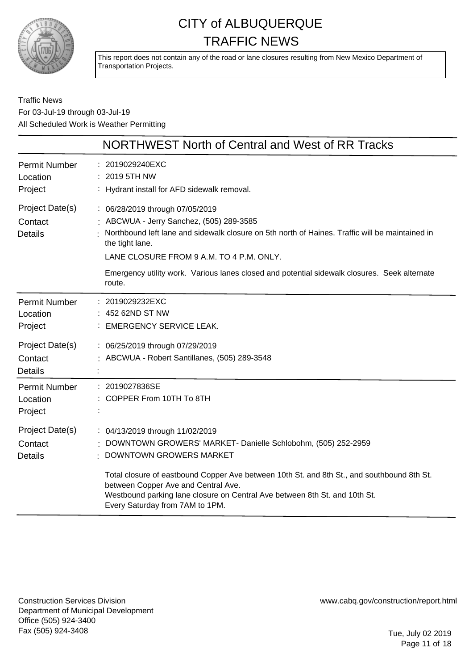

This report does not contain any of the road or lane closures resulting from New Mexico Department of Transportation Projects.

Traffic News For 03-Jul-19 through 03-Jul-19 All Scheduled Work is Weather Permitting

|                                              | NORTHWEST North of Central and West of RR Tracks                                                                                                                                                                                                                                                                                                                                 |
|----------------------------------------------|----------------------------------------------------------------------------------------------------------------------------------------------------------------------------------------------------------------------------------------------------------------------------------------------------------------------------------------------------------------------------------|
| <b>Permit Number</b><br>Location<br>Project  | : 2019029240EXC<br>2019 5TH NW<br>: Hydrant install for AFD sidewalk removal.                                                                                                                                                                                                                                                                                                    |
| Project Date(s)<br>Contact<br><b>Details</b> | : 06/28/2019 through 07/05/2019<br>: ABCWUA - Jerry Sanchez, (505) 289-3585<br>Northbound left lane and sidewalk closure on 5th north of Haines. Traffic will be maintained in<br>the tight lane.<br>LANE CLOSURE FROM 9 A.M. TO 4 P.M. ONLY.<br>Emergency utility work. Various lanes closed and potential sidewalk closures. Seek alternate<br>route.                          |
| <b>Permit Number</b><br>Location<br>Project  | : 2019029232EXC<br>452 62ND ST NW<br>: EMERGENCY SERVICE LEAK.                                                                                                                                                                                                                                                                                                                   |
| Project Date(s)<br>Contact<br><b>Details</b> | : 06/25/2019 through 07/29/2019<br>ABCWUA - Robert Santillanes, (505) 289-3548                                                                                                                                                                                                                                                                                                   |
| <b>Permit Number</b><br>Location<br>Project  | : 2019027836SE<br>COPPER From 10TH To 8TH                                                                                                                                                                                                                                                                                                                                        |
| Project Date(s)<br>Contact<br><b>Details</b> | : 04/13/2019 through 11/02/2019<br>DOWNTOWN GROWERS' MARKET- Danielle Schlobohm, (505) 252-2959<br>DOWNTOWN GROWERS MARKET<br>Total closure of eastbound Copper Ave between 10th St. and 8th St., and southbound 8th St.<br>between Copper Ave and Central Ave.<br>Westbound parking lane closure on Central Ave between 8th St. and 10th St.<br>Every Saturday from 7AM to 1PM. |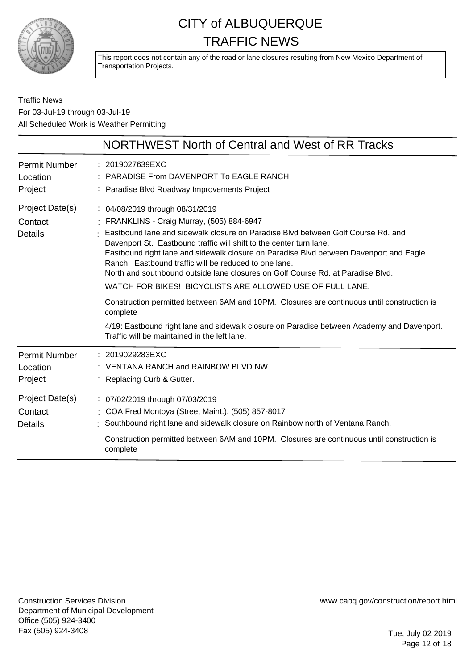

This report does not contain any of the road or lane closures resulting from New Mexico Department of Transportation Projects.

Traffic News For 03-Jul-19 through 03-Jul-19 All Scheduled Work is Weather Permitting

|                                                                                             | NORTHWEST North of Central and West of RR Tracks                                                                                                                                                                                                                                                                                                                                                                                                                                                                                                                                                                                                                                                                                                                                                    |
|---------------------------------------------------------------------------------------------|-----------------------------------------------------------------------------------------------------------------------------------------------------------------------------------------------------------------------------------------------------------------------------------------------------------------------------------------------------------------------------------------------------------------------------------------------------------------------------------------------------------------------------------------------------------------------------------------------------------------------------------------------------------------------------------------------------------------------------------------------------------------------------------------------------|
| <b>Permit Number</b><br>Location<br>Project                                                 | : 2019027639EXC<br>PARADISE From DAVENPORT To EAGLE RANCH<br>: Paradise Blvd Roadway Improvements Project                                                                                                                                                                                                                                                                                                                                                                                                                                                                                                                                                                                                                                                                                           |
| Project Date(s)<br>Contact<br><b>Details</b>                                                | : 04/08/2019 through 08/31/2019<br>: FRANKLINS - Craig Murray, (505) 884-6947<br>Eastbound lane and sidewalk closure on Paradise Blvd between Golf Course Rd. and<br>Davenport St. Eastbound traffic will shift to the center turn lane.<br>Eastbound right lane and sidewalk closure on Paradise Blvd between Davenport and Eagle<br>Ranch. Eastbound traffic will be reduced to one lane.<br>North and southbound outside lane closures on Golf Course Rd, at Paradise Blvd.<br>WATCH FOR BIKES! BICYCLISTS ARE ALLOWED USE OF FULL LANE.<br>Construction permitted between 6AM and 10PM. Closures are continuous until construction is<br>complete<br>4/19: Eastbound right lane and sidewalk closure on Paradise between Academy and Davenport.<br>Traffic will be maintained in the left lane. |
| <b>Permit Number</b><br>Location<br>Project<br>Project Date(s)<br>Contact<br><b>Details</b> | : 2019029283EXC<br>VENTANA RANCH and RAINBOW BLVD NW<br>Replacing Curb & Gutter.<br>: 07/02/2019 through 07/03/2019<br>: COA Fred Montoya (Street Maint.), (505) 857-8017<br>Southbound right lane and sidewalk closure on Rainbow north of Ventana Ranch.<br>Construction permitted between 6AM and 10PM. Closures are continuous until construction is<br>complete                                                                                                                                                                                                                                                                                                                                                                                                                                |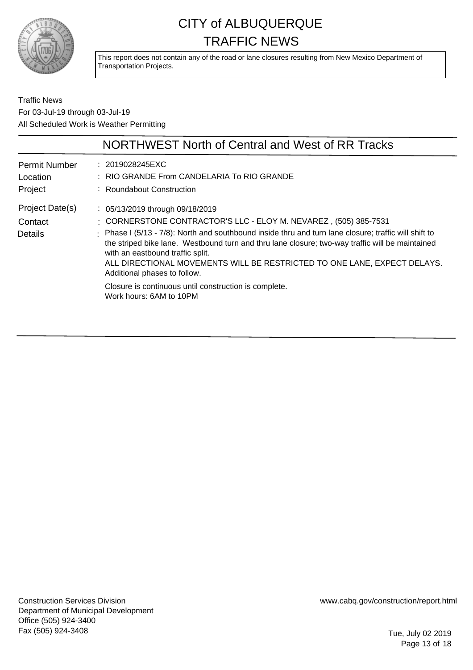

This report does not contain any of the road or lane closures resulting from New Mexico Department of Transportation Projects.

Traffic News For 03-Jul-19 through 03-Jul-19 All Scheduled Work is Weather Permitting

|                                             | NORTHWEST North of Central and West of RR Tracks                                                                                                                                                                                                                                                                                                                                                                                                                                                                                                               |
|---------------------------------------------|----------------------------------------------------------------------------------------------------------------------------------------------------------------------------------------------------------------------------------------------------------------------------------------------------------------------------------------------------------------------------------------------------------------------------------------------------------------------------------------------------------------------------------------------------------------|
| <b>Permit Number</b><br>Location<br>Project | : 2019028245EXC<br>: RIO GRANDE From CANDELARIA To RIO GRANDE<br>: Roundabout Construction                                                                                                                                                                                                                                                                                                                                                                                                                                                                     |
| Project Date(s)<br>Contact<br>Details       | $\therefore$ 05/13/2019 through 09/18/2019<br>: CORNERSTONE CONTRACTOR'S LLC - ELOY M. NEVAREZ, (505) 385-7531<br>: Phase I (5/13 - 7/8): North and southbound inside thru and turn lane closure; traffic will shift to<br>the striped bike lane. Westbound turn and thru lane closure; two-way traffic will be maintained<br>with an eastbound traffic split.<br>ALL DIRECTIONAL MOVEMENTS WILL BE RESTRICTED TO ONE LANE, EXPECT DELAYS.<br>Additional phases to follow.<br>Closure is continuous until construction is complete.<br>Work hours: 6AM to 10PM |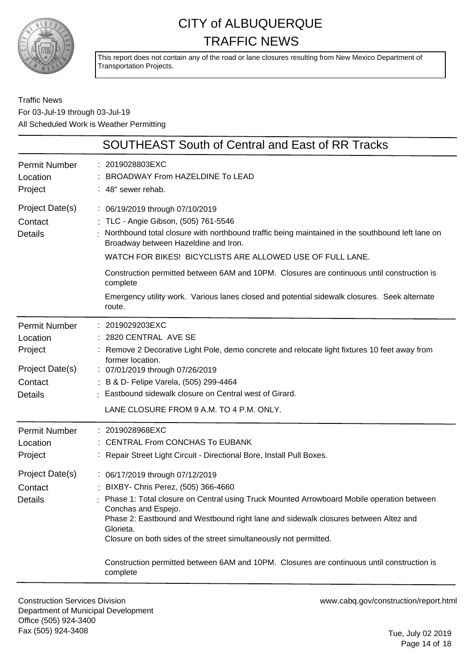

This report does not contain any of the road or lane closures resulting from New Mexico Department of Transportation Projects.

### Traffic News For 03-Jul-19 through 03-Jul-19 All Scheduled Work is Weather Permitting

|                                                                                             | <b>SOUTHEAST South of Central and East of RR Tracks</b>                                                                                                                                                                                                                                                                                                                                                                                                                                                                                                                                             |
|---------------------------------------------------------------------------------------------|-----------------------------------------------------------------------------------------------------------------------------------------------------------------------------------------------------------------------------------------------------------------------------------------------------------------------------------------------------------------------------------------------------------------------------------------------------------------------------------------------------------------------------------------------------------------------------------------------------|
| <b>Permit Number</b><br>Location<br>Project                                                 | : 2019028803EXC<br>BROADWAY From HAZELDINE To LEAD<br>: 48" sewer rehab.                                                                                                                                                                                                                                                                                                                                                                                                                                                                                                                            |
| Project Date(s)<br>Contact<br><b>Details</b>                                                | : 06/19/2019 through 07/10/2019<br>: TLC - Angie Gibson, (505) 761-5546<br>Northbound total closure with northbound traffic being maintained in the southbound left lane on<br>Broadway between Hazeldine and Iron.<br>WATCH FOR BIKES! BICYCLISTS ARE ALLOWED USE OF FULL LANE.<br>Construction permitted between 6AM and 10PM. Closures are continuous until construction is<br>complete<br>Emergency utility work. Various lanes closed and potential sidewalk closures. Seek alternate<br>route.                                                                                                |
| <b>Permit Number</b><br>Location<br>Project<br>Project Date(s)<br>Contact<br><b>Details</b> | 2019029203EXC<br>2820 CENTRAL AVE SE<br>Remove 2 Decorative Light Pole, demo concrete and relocate light fixtures 10 feet away from<br>former location.<br>: 07/01/2019 through 07/26/2019<br>B & D- Felipe Varela, (505) 299-4464<br>Eastbound sidewalk closure on Central west of Girard.<br>LANE CLOSURE FROM 9 A.M. TO 4 P.M. ONLY.                                                                                                                                                                                                                                                             |
| <b>Permit Number</b><br>Location<br>Project<br>Project Date(s)<br>Contact<br><b>Details</b> | 2019028968EXC<br><b>CENTRAL From CONCHAS To EUBANK</b><br>Repair Street Light Circuit - Directional Bore, Install Pull Boxes.<br>: 06/17/2019 through 07/12/2019<br>: BIXBY- Chris Perez, (505) 366-4660<br>Phase 1: Total closure on Central using Truck Mounted Arrowboard Mobile operation between<br>Conchas and Espejo.<br>Phase 2: Eastbound and Westbound right lane and sidewalk closures between Altez and<br>Glorieta.<br>Closure on both sides of the street simultaneously not permitted.<br>Construction permitted between 6AM and 10PM. Closures are continuous until construction is |
|                                                                                             | complete                                                                                                                                                                                                                                                                                                                                                                                                                                                                                                                                                                                            |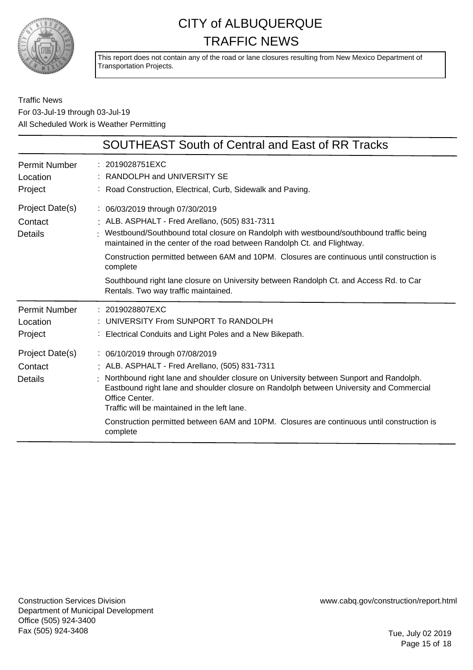

This report does not contain any of the road or lane closures resulting from New Mexico Department of Transportation Projects.

### Traffic News For 03-Jul-19 through 03-Jul-19 All Scheduled Work is Weather Permitting

|                                             | <b>SOUTHEAST South of Central and East of RR Tracks</b>                                                                                                                                                                                                                                                                                                                                                                                                                                               |
|---------------------------------------------|-------------------------------------------------------------------------------------------------------------------------------------------------------------------------------------------------------------------------------------------------------------------------------------------------------------------------------------------------------------------------------------------------------------------------------------------------------------------------------------------------------|
| <b>Permit Number</b><br>Location<br>Project | : 2019028751EXC<br>: RANDOLPH and UNIVERSITY SE<br>: Road Construction, Electrical, Curb, Sidewalk and Paving.                                                                                                                                                                                                                                                                                                                                                                                        |
| Project Date(s)<br>Contact<br>Details       | : 06/03/2019 through 07/30/2019<br>: ALB. ASPHALT - Fred Arellano, (505) 831-7311<br>: Westbound/Southbound total closure on Randolph with westbound/southbound traffic being<br>maintained in the center of the road between Randolph Ct. and Flightway.<br>Construction permitted between 6AM and 10PM. Closures are continuous until construction is<br>complete<br>Southbound right lane closure on University between Randolph Ct. and Access Rd. to Car<br>Rentals. Two way traffic maintained. |
| <b>Permit Number</b><br>Location<br>Project | : 2019028807EXC<br>UNIVERSITY From SUNPORT To RANDOLPH<br>Electrical Conduits and Light Poles and a New Bikepath.                                                                                                                                                                                                                                                                                                                                                                                     |
| Project Date(s)<br>Contact<br>Details       | : 06/10/2019 through 07/08/2019<br>: ALB. ASPHALT - Fred Arellano, (505) 831-7311<br>Northbound right lane and shoulder closure on University between Sunport and Randolph.<br>Eastbound right lane and shoulder closure on Randolph between University and Commercial<br>Office Center.<br>Traffic will be maintained in the left lane.<br>Construction permitted between 6AM and 10PM. Closures are continuous until construction is<br>complete                                                    |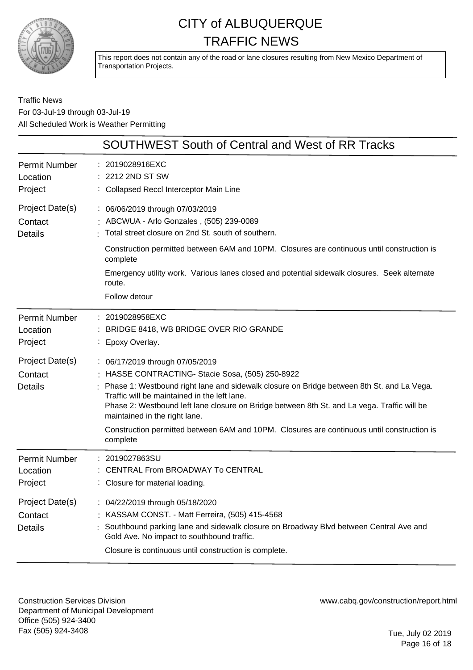

This report does not contain any of the road or lane closures resulting from New Mexico Department of Transportation Projects.

Traffic News For 03-Jul-19 through 03-Jul-19 All Scheduled Work is Weather Permitting

|                                              | SOUTHWEST South of Central and West of RR Tracks                                                                                                                                                                                                                                                                                                                                                                                                                         |
|----------------------------------------------|--------------------------------------------------------------------------------------------------------------------------------------------------------------------------------------------------------------------------------------------------------------------------------------------------------------------------------------------------------------------------------------------------------------------------------------------------------------------------|
| <b>Permit Number</b><br>Location<br>Project  | : 2019028916EXC<br>: 2212 2ND ST SW<br>: Collapsed Reccl Interceptor Main Line                                                                                                                                                                                                                                                                                                                                                                                           |
| Project Date(s)<br>Contact<br><b>Details</b> | : 06/06/2019 through 07/03/2019<br>: ABCWUA - Arlo Gonzales, (505) 239-0089<br>Total street closure on 2nd St. south of southern.<br>Construction permitted between 6AM and 10PM. Closures are continuous until construction is<br>complete<br>Emergency utility work. Various lanes closed and potential sidewalk closures. Seek alternate<br>route.<br>Follow detour                                                                                                   |
| Permit Number<br>Location<br>Project         | : 2019028958EXC<br>: BRIDGE 8418, WB BRIDGE OVER RIO GRANDE<br>: Epoxy Overlay.                                                                                                                                                                                                                                                                                                                                                                                          |
| Project Date(s)<br>Contact<br><b>Details</b> | : 06/17/2019 through 07/05/2019<br>HASSE CONTRACTING- Stacie Sosa, (505) 250-8922<br>Phase 1: Westbound right lane and sidewalk closure on Bridge between 8th St. and La Vega.<br>Traffic will be maintained in the left lane.<br>Phase 2: Westbound left lane closure on Bridge between 8th St. and La vega. Traffic will be<br>maintained in the right lane.<br>Construction permitted between 6AM and 10PM. Closures are continuous until construction is<br>complete |
| <b>Permit Number</b><br>Location<br>Project  | 2019027863SU<br>CENTRAL From BROADWAY To CENTRAL<br>: Closure for material loading.                                                                                                                                                                                                                                                                                                                                                                                      |
| Project Date(s)<br>Contact<br><b>Details</b> | : 04/22/2019 through 05/18/2020<br>: KASSAM CONST. - Matt Ferreira, (505) 415-4568<br>Southbound parking lane and sidewalk closure on Broadway Blvd between Central Ave and<br>Gold Ave. No impact to southbound traffic.<br>Closure is continuous until construction is complete.                                                                                                                                                                                       |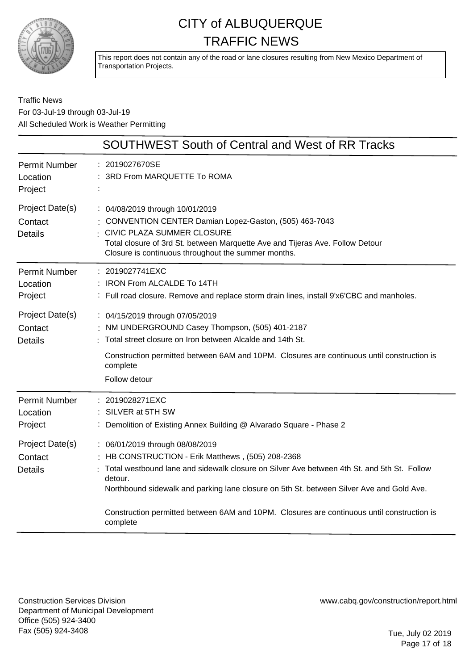

This report does not contain any of the road or lane closures resulting from New Mexico Department of Transportation Projects.

### Traffic News For 03-Jul-19 through 03-Jul-19 All Scheduled Work is Weather Permitting

|                                              | <b>SOUTHWEST South of Central and West of RR Tracks</b>                                                                                                                                                                                                                                                                                                                                           |
|----------------------------------------------|---------------------------------------------------------------------------------------------------------------------------------------------------------------------------------------------------------------------------------------------------------------------------------------------------------------------------------------------------------------------------------------------------|
| <b>Permit Number</b><br>Location<br>Project  | 2019027670SE<br>3RD From MARQUETTE To ROMA                                                                                                                                                                                                                                                                                                                                                        |
| Project Date(s)<br>Contact<br><b>Details</b> | : 04/08/2019 through 10/01/2019<br>: CONVENTION CENTER Damian Lopez-Gaston, (505) 463-7043<br>CIVIC PLAZA SUMMER CLOSURE<br>Total closure of 3rd St. between Marquette Ave and Tijeras Ave. Follow Detour<br>Closure is continuous throughout the summer months.                                                                                                                                  |
| Permit Number<br>Location<br>Project         | : 2019027741EXC<br>: IRON From ALCALDE To 14TH<br>: Full road closure. Remove and replace storm drain lines, install 9'x6'CBC and manholes.                                                                                                                                                                                                                                                       |
| Project Date(s)<br>Contact<br><b>Details</b> | : 04/15/2019 through 07/05/2019<br>NM UNDERGROUND Casey Thompson, (505) 401-2187<br>Total street closure on Iron between Alcalde and 14th St.<br>Construction permitted between 6AM and 10PM. Closures are continuous until construction is<br>complete<br>Follow detour                                                                                                                          |
| <b>Permit Number</b><br>Location<br>Project  | 2019028271EXC<br>SILVER at 5TH SW<br>Demolition of Existing Annex Building @ Alvarado Square - Phase 2                                                                                                                                                                                                                                                                                            |
| Project Date(s)<br>Contact<br><b>Details</b> | : 06/01/2019 through 08/08/2019<br>HB CONSTRUCTION - Erik Matthews, (505) 208-2368<br>Total westbound lane and sidewalk closure on Silver Ave between 4th St. and 5th St. Follow<br>detour.<br>Northbound sidewalk and parking lane closure on 5th St. between Silver Ave and Gold Ave.<br>Construction permitted between 6AM and 10PM. Closures are continuous until construction is<br>complete |